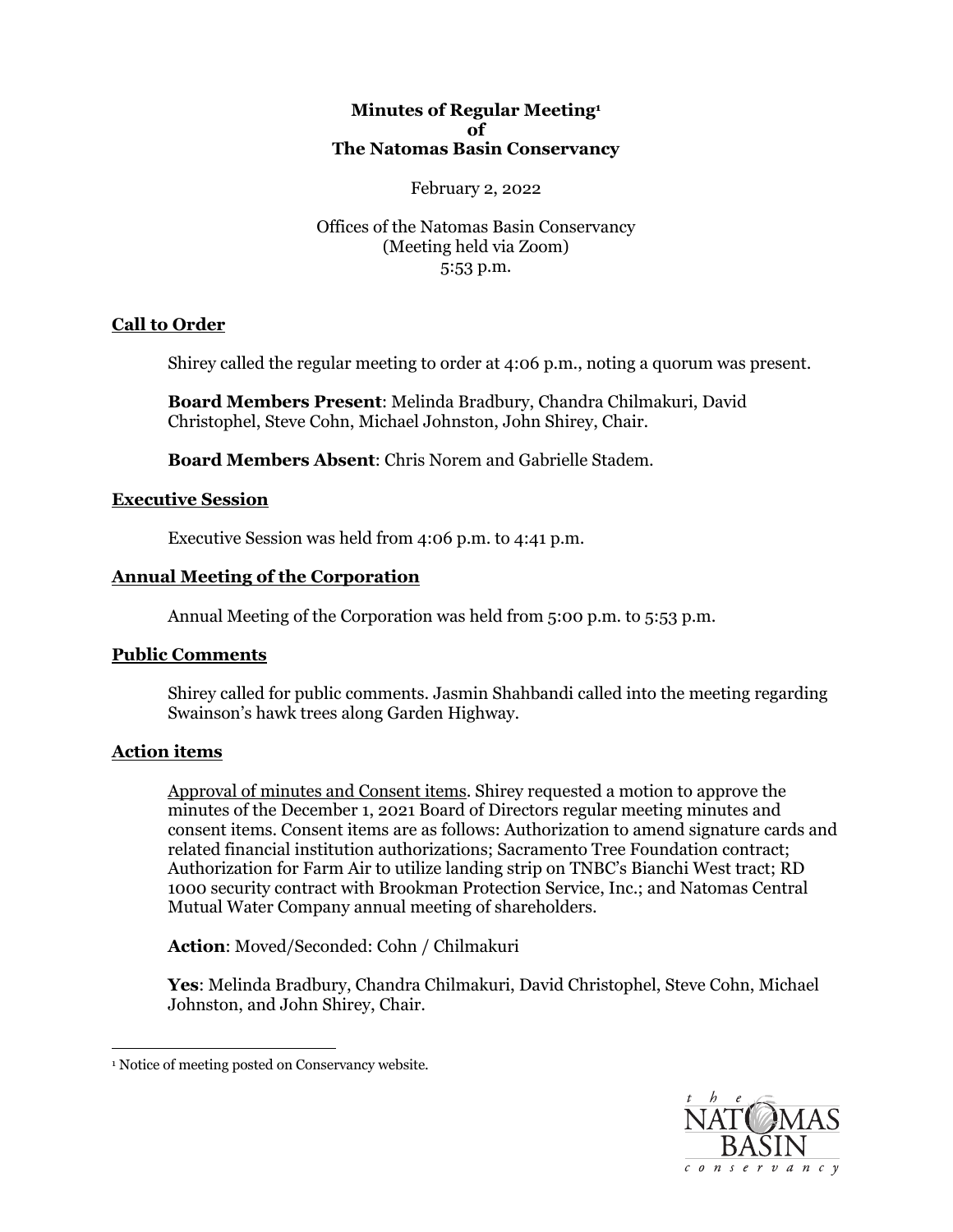## **Minutes of Regular Meeting1 of The Natomas Basin Conservancy**

#### February 2, 2022

 Offices of the Natomas Basin Conservancy (Meeting held via Zoom) 5:53 p.m.

# **Call to Order**

Shirey called the regular meeting to order at 4:06 p.m., noting a quorum was present.

 Christophel, Steve Cohn, Michael Johnston, John Shirey, Chair. **Board Members Present**: Melinda Bradbury, Chandra Chilmakuri, David

**Board Members Absent**: Chris Norem and Gabrielle Stadem.

## **Executive Session**

Executive Session was held from 4:06 p.m. to 4:41 p.m.

# **Annual Meeting of the Corporation**

Annual Meeting of the Corporation was held from 5:00 p.m. to 5:53 p.m.

# **Public Comments**

 Shirey called for public comments. Jasmin Shahbandi called into the meeting regarding Swainson's hawk trees along Garden Highway.

# **Action items**

 Approval of minutes and Consent items. Shirey requested a motion to approve the minutes of the December 1, 2021 Board of Directors regular meeting minutes and consent items. Consent items are as follows: Authorization to amend signature cards and Authorization for Farm Air to utilize landing strip on TNBC's Bianchi West tract; RD 1000 security contract with Brookman Protection Service, Inc.; and Natomas Central Mutual Water Company annual meeting of shareholders. related financial institution authorizations; Sacramento Tree Foundation contract;

**Action**: Moved/Seconded: Cohn / Chilmakuri

**Yes**: Melinda Bradbury, Chandra Chilmakuri, David Christophel, Steve Cohn, Michael Johnston, and John Shirey, Chair.



<sup>&</sup>lt;sup>1</sup> Notice of meeting posted on Conservancy website.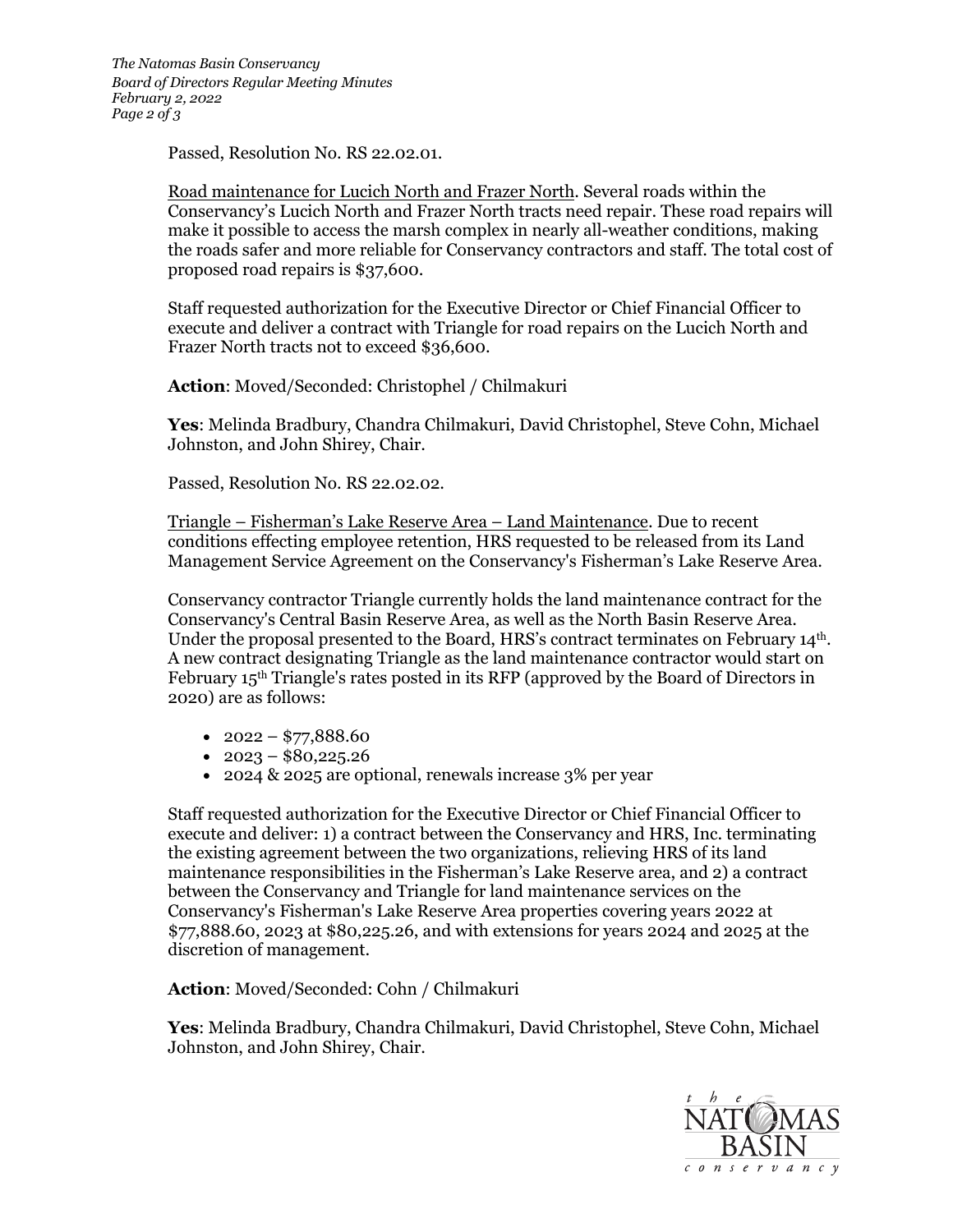*The Natomas Basin Conservancy Board of Directors Regular Meeting Minutes February 2, 2022 Page 2 of 3* 

Passed, Resolution No. RS [22.02.01](https://22.02.01).

 Road maintenance for Lucich North and Frazer North. Several roads within the make it possible to access the marsh complex in nearly all-weather conditions, making Conservancy's Lucich North and Frazer North tracts need repair. These road repairs will the roads safer and more reliable for Conservancy contractors and staff. The total cost of proposed road repairs is \$37,600.

 Staff requested authorization for the Executive Director or Chief Financial Officer to execute and deliver a contract with Triangle for road repairs on the Lucich North and Frazer North tracts not to exceed \$36,600.

**Action**: Moved/Seconded: Christophel / Chilmakuri

**Yes**: Melinda Bradbury, Chandra Chilmakuri, David Christophel, Steve Cohn, Michael Johnston, and John Shirey, Chair.

Passed, Resolution No. RS [22.02.02.](https://22.02.02)

 Triangle – Fisherman's Lake Reserve Area – Land Maintenance. Due to recent Management Service Agreement on the Conservancy's Fisherman's Lake Reserve Area. conditions effecting employee retention, HRS requested to be released from its Land

 Conservancy contractor Triangle currently holds the land maintenance contract for the Conservancy's Central Basin Reserve Area, as well as the North Basin Reserve Area. Under the proposal presented to the Board, HRS's contract terminates on February 14<sup>th</sup>. A new contract designating Triangle as the land maintenance contractor would start on 2020) are as follows: February 15th Triangle's rates posted in its RFP (approved by the Board of Directors in

- $2022 $77,888.60$
- $2023 $80,225.26$
- 2024 & 2025 are optional, renewals increase 3% per year

 execute and deliver: 1) a contract between the Conservancy and HRS, Inc. terminating the existing agreement between the two organizations, relieving HRS of its land between the Conservancy and Triangle for land maintenance services on the Conservancy's Fisherman's Lake Reserve Area properties covering years 2022 at \$[77,888.60](https://77,888.60), 2023 at [\\$80,225.26](https://80,225.26), and with extensions for years 2024 and 2025 at the Staff requested authorization for the Executive Director or Chief Financial Officer to maintenance responsibilities in the Fisherman's Lake Reserve area, and 2) a contract discretion of management.

**Action**: Moved/Seconded: Cohn / Chilmakuri

**Yes**: Melinda Bradbury, Chandra Chilmakuri, David Christophel, Steve Cohn, Michael Johnston, and John Shirey, Chair.